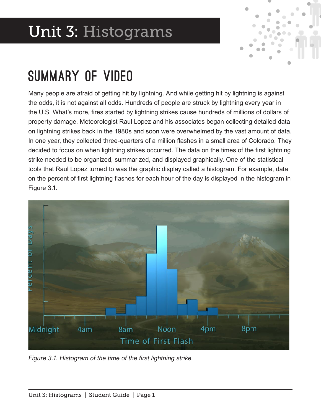# Unit 3: Histograms



### Summary of Video

Many people are afraid of getting hit by lightning. And while getting hit by lightning is against the odds, it is not against all odds. Hundreds of people are struck by lightning every year in the U.S. What's more, fres started by lightning strikes cause hundreds of millions of dollars of property damage. Meteorologist Raul Lopez and his associates began collecting detailed data on lightning strikes back in the 1980s and soon were overwhelmed by the vast amount of data. In one year, they collected three-quarters of a million fashes in a small area of Colorado. They decided to focus on when lightning strikes occurred. The data on the times of the first lightning strike needed to be organized, summarized, and displayed graphically. One of the statistical tools that Raul Lopez turned to was the graphic display called a histogram. For example, data on the percent of frst lightning fashes for each hour of the day is displayed in the histogram in Figure 3.1.



*Figure 3.1. Histogram of the time of the frst lightning strike.*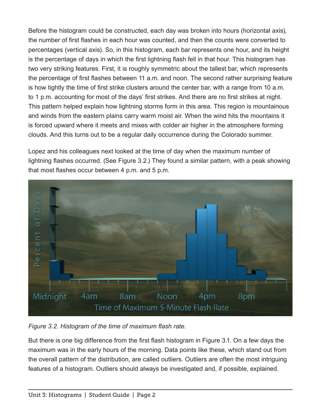Before the histogram could be constructed, each day was broken into hours (horizontal axis), the number of frst fashes in each hour was counted, and then the counts were converted to percentages (vertical axis). So, in this histogram, each bar represents one hour, and its height is the percentage of days in which the frst lightning fash fell in that hour. This histogram has two very striking features. First, it is roughly symmetric about the tallest bar, which represents the percentage of frst fashes between 11 a.m. and noon. The second rather surprising feature is how tightly the time of first strike clusters around the center bar, with a range from 10 a.m. to 1 p.m. accounting for most of the days' first strikes. And there are no first strikes at night. This pattern helped explain how lightning storms form in this area. This region is mountainous and winds from the eastern plains carry warm moist air. When the wind hits the mountains it is forced upward where it meets and mixes with colder air higher in the atmosphere forming clouds. And this turns out to be a regular daily occurrence during the Colorado summer.

Lopez and his colleagues next looked at the time of day when the maximum number of lightning fashes occurred. (See Figure 3.2.) They found a similar pattern, with a peak showing that most fashes occur between 4 p.m. and 5 p.m.



*Figure 3.2. Histogram of the time of maximum fash rate.*

But there is one big difference from the frst fash histogram in Figure 3.1. On a few days the maximum was in the early hours of the morning. Data points like these, which stand out from the overall pattern of the distribution, are called outliers. Outliers are often the most intriguing features of a histogram. Outliers should always be investigated and, if possible, explained.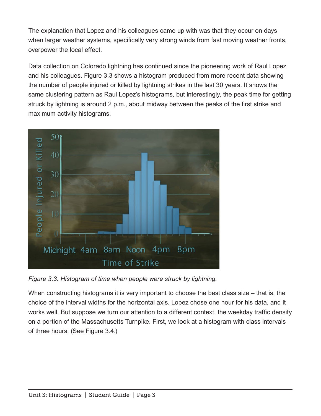The explanation that Lopez and his colleagues came up with was that they occur on days when larger weather systems, specifically very strong winds from fast moving weather fronts, overpower the local effect.

Data collection on Colorado lightning has continued since the pioneering work of Raul Lopez and his colleagues. Figure 3.3 shows a histogram produced from more recent data showing the number of people injured or killed by lightning strikes in the last 30 years. It shows the same clustering pattern as Raul Lopez's histograms, but interestingly, the peak time for getting struck by lightning is around 2 p.m., about midway between the peaks of the first strike and maximum activity histograms.



*Figure 3.3. Histogram of time when people were struck by lightning.*

When constructing histograms it is very important to choose the best class size – that is, the choice of the interval widths for the horizontal axis. Lopez chose one hour for his data, and it works well. But suppose we turn our attention to a different context, the weekday traffic density on a portion of the Massachusetts Turnpike. First, we look at a histogram with class intervals of three hours. (See Figure 3.4.)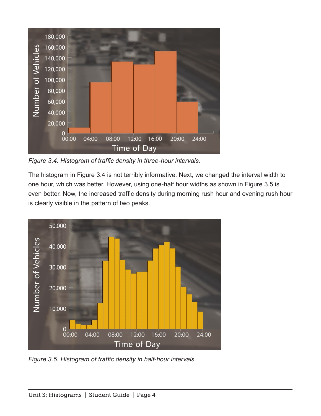

*Figure 3.4. Histogram of traffc density in three-hour intervals.*

The histogram in Figure 3.4 is not terribly informative. Next, we changed the interval width to one hour, which was better. However, using one-half hour widths as shown in Figure 3.5 is even better. Now, the increased traffic density during morning rush hour and evening rush hour is clearly visible in the pattern of two peaks.



*Figure 3.5. Histogram of traffc density in half-hour intervals.*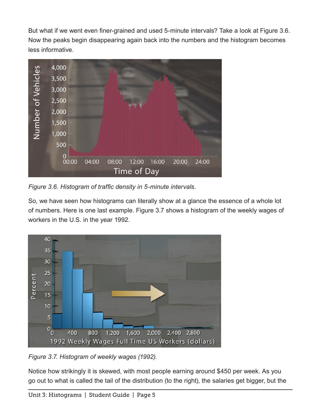But what if we went even fner-grained and used 5-minute intervals? Take a look at Figure 3.6. Now the peaks begin disappearing again back into the numbers and the histogram becomes less informative.



*Figure 3.6. Histogram of traffc density in 5-minute intervals.* 

So, we have seen how histograms can literally show at a glance the essence of a whole lot of numbers. Here is one last example. Figure 3.7 shows a histogram of the weekly wages of workers in the U.S. in the year 1992.



*Figure 3.7. Histogram of weekly wages (1992).*

Notice how strikingly it is skewed, with most people earning around \$450 per week. As you go out to what is called the tail of the distribution (to the right), the salaries get bigger, but the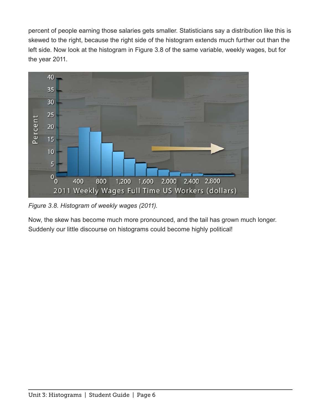percent of people earning those salaries gets smaller. Statisticians say a distribution like this is skewed to the right, because the right side of the histogram extends much further out than the left side. Now look at the histogram in Figure 3.8 of the same variable, weekly wages, but for the year 2011.



*Figure 3.8. Histogram of weekly wages (2011).* 

Now, the skew has become much more pronounced, and the tail has grown much longer. Suddenly our little discourse on histograms could become highly political!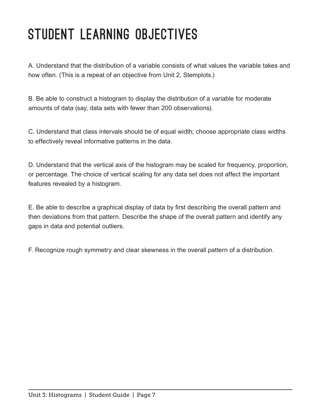# STUDENT LEARNING OBJECTIVES

A. Understand that the distribution of a variable consists of what values the variable takes and how often. (This is a repeat of an objective from Unit 2, Stemplots.)

B. Be able to construct a histogram to display the distribution of a variable for moderate amounts of data (say, data sets with fewer than 200 observations).

C. Understand that class intervals should be of equal width; choose appropriate class widths to effectively reveal informative patterns in the data.

D. Understand that the vertical axis of the histogram may be scaled for frequency, proportion, or percentage. The choice of vertical scaling for any data set does not affect the important features revealed by a histogram.

E. Be able to describe a graphical display of data by frst describing the overall pattern and then deviations from that pattern. Describe the shape of the overall pattern and identify any gaps in data and potential outliers.

F. Recognize rough symmetry and clear skewness in the overall pattern of a distribution.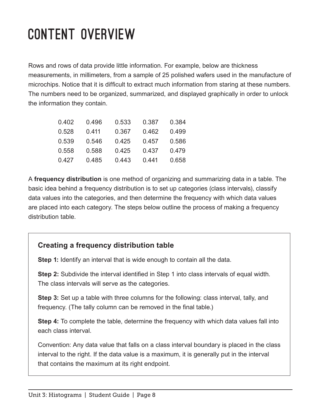# Content Overview

Rows and rows of data provide little information. For example, below are thickness measurements, in millimeters, from a sample of 25 polished wafers used in the manufacture of microchips. Notice that it is difficult to extract much information from staring at these numbers. The numbers need to be organized, summarized, and displayed graphically in order to unlock the information they contain.

| 0.402 | 0.496 | 0.533 | 0.387 | 0.384 |
|-------|-------|-------|-------|-------|
| 0.528 | 0.411 | 0.367 | 0.462 | 0.499 |
| 0.539 | 0.546 | 0.425 | 0.457 | 0.586 |
| 0.558 | 0.588 | 0.425 | 0.437 | 0.479 |
| 0.427 | 0.485 | 0.443 | 0.441 | 0.658 |

A **frequency distribution** is one method of organizing and summarizing data in a table. The basic idea behind a frequency distribution is to set up categories (class intervals), classify data values into the categories, and then determine the frequency with which data values are placed into each category. The steps below outline the process of making a frequency distribution table.

#### **Creating a frequency distribution table**

**Step 1:** Identify an interval that is wide enough to contain all the data.

**Step 2:** Subdivide the interval identified in Step 1 into class intervals of equal width. The class intervals will serve as the categories.

**Step 3:** Set up a table with three columns for the following: class interval, tally, and frequency. (The tally column can be removed in the final table.)

**Step 4:** To complete the table, determine the frequency with which data values fall into each class interval.

Convention: Any data value that falls on a class interval boundary is placed in the class interval to the right. If the data value is a maximum, it is generally put in the interval that contains the maximum at its right endpoint.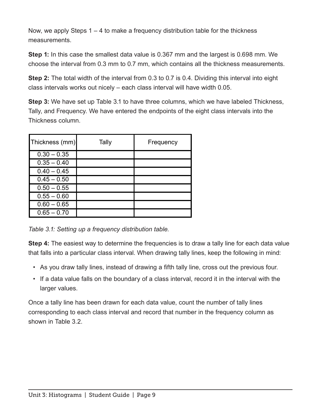Now, we apply Steps 1 – 4 to make a frequency distribution table for the thickness measurements.

**Step 1:** In this case the smallest data value is 0.367 mm and the largest is 0.698 mm. We choose the interval from 0.3 mm to 0.7 mm, which contains all the thickness measurements.

**Step 2:** The total width of the interval from 0.3 to 0.7 is 0.4. Dividing this interval into eight class intervals works out nicely – each class interval will have width 0.05.

**Step 3:** We have set up Table 3.1 to have three columns, which we have labeled Thickness, Tally, and Frequency. We have entered the endpoints of the eight class intervals into the Thickness column.

| Thickness (mm) | Tally | Frequency |
|----------------|-------|-----------|
| $0.30 - 0.35$  |       |           |
| $0.35 - 0.40$  |       |           |
| $0.40 - 0.45$  |       |           |
| $0.45 - 0.50$  |       |           |
| $0.50 - 0.55$  |       |           |
| $0.55 - 0.60$  |       |           |
| $0.60 - 0.65$  |       |           |
| $0.65 - 0.70$  |       |           |

Table 38 atting up a frequency distribution table.

**Step 4:** The easiest way to determine the frequencies is to draw a tally line for each data value that falls into a particular class interval. When drawing tally lines, keep the following in mind:

- As you draw tally lines, instead of drawing a ffth tally line, cross out the previous four.
- If a data value falls on the boundary of a class interval, record it in the interval with the larger values.

Once a tally line has been drawn for each data value, count the number of tally lines corresponding to each class interval and record that number in the frequency column as shown in Table 3.2.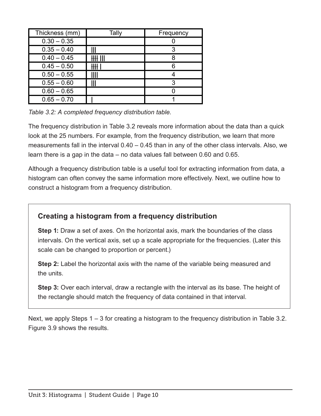| Thickness (mm) | Tally | Frequency |
|----------------|-------|-----------|
| $0.30 - 0.35$  |       |           |
| $0.35 - 0.40$  |       | 3         |
| $0.40 - 0.45$  |       |           |
| $0.45 - 0.50$  |       |           |
| $0.50 - 0.55$  |       |           |
| $0.55 - 0.60$  |       | 3         |
| $0.60 - 0.65$  |       |           |
| $0.65 - 0.70$  |       |           |

Table  $\frac{3}{1000}$  *A completed frequency distribution table.* 

The frequency distribution in Table 3.2 reveals more information about the data than a quick look at the 25 numbers. For example, from the frequency distribution, we learn that more measurements fall in the interval 0.40 – 0.45 than in any of the other class intervals. Also, we learn there is a gap in the data – no data values fall between 0.60 and 0.65.

Although a frequency distribution table is a useful tool for extracting information from data, a histogram can often convey the same information more effectively. Next, we outline how to construct a histogram from a frequency distribution.

### **Creating a histogram from a frequency distribution**

**Step 1:** Draw a set of axes. On the horizontal axis, mark the boundaries of the class intervals. On the vertical axis, set up a scale appropriate for the frequencies. (Later this scale can be changed to proportion or percent.)

**Step 2:** Label the horizontal axis with the name of the variable being measured and the units.

**Step 3:** Over each interval, draw a rectangle with the interval as its base. The height of the rectangle should match the frequency of data contained in that interval.

Next, we apply Steps 1 – 3 for creating a histogram to the frequency distribution in Table 3.2. Figure 3.9 shows the results.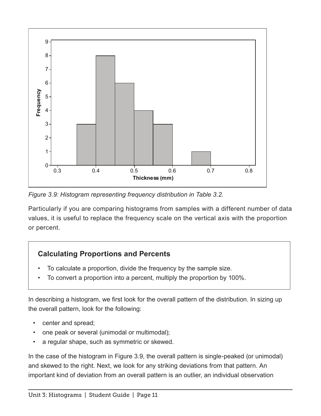

*Figure 3.9: Histogram representing frequency distribution in Table 3.2.*

Particularly if you are comparing histograms from samples with a different number of data values, it is useful to replace the frequency scale on the vertical axis with the proportion or percent.

### **Calculating Proportions and Percents**

- To calculate a proportion, divide the frequency by the sample size.
- To convert a proportion into a percent, multiply the proportion by 100%.

In describing a histogram, we frst look for the overall pattern of the distribution. In sizing up the overall pattern, look for the following:

- center and spread;
- one peak or several (unimodal or multimodal);
- a regular shape, such as symmetric or skewed.

In the case of the histogram in Figure 3.9, the overall pattern is single-peaked (or unimodal) and skewed to the right. Next, we look for any striking deviations from that pattern. An important kind of deviation from an overall pattern is an outlier, an individual observation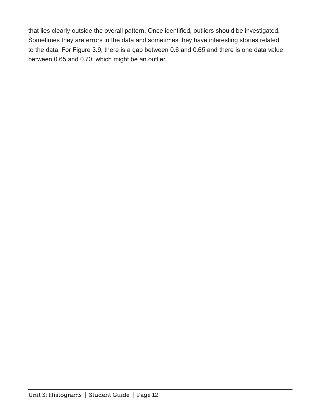that lies clearly outside the overall pattern. Once identifed, outliers should be investigated. Sometimes they are errors in the data and sometimes they have interesting stories related to the data. For Figure 3.9, there is a gap between 0.6 and 0.65 and there is one data value between 0.65 and 0.70, which might be an outlier.